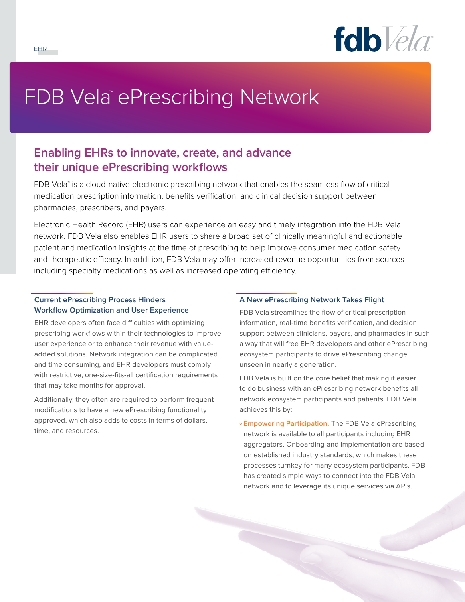

# FDB Vela™ePrescribing Network

# **Enabling EHRs to innovate, create, and advance their unique ePrescribing workflows**

FDB Vela™ is a cloud-native electronic prescribing network that enables the seamless flow of critical medication prescription information, benefits verification, and clinical decision support between pharmacies, prescribers, and payers.

Electronic Health Record (EHR) users can experience an easy and timely integration into the FDB Vela network. FDB Vela also enables EHR users to share a broad set of clinically meaningful and actionable patient and medication insights at the time of prescribing to help improve consumer medication safety and therapeutic efficacy. In addition, FDB Vela may offer increased revenue opportunities from sources including specialty medications as well as increased operating efficiency.

# **Current ePrescribing Process Hinders Workflow Optimization and User Experience**

EHR developers often face difficulties with optimizing prescribing workflows within their technologies to improve user experience or to enhance their revenue with valueadded solutions. Network integration can be complicated and time consuming, and EHR developers must comply with restrictive, one-size-fits-all certification requirements that may take months for approval.

Additionally, they often are required to perform frequent modifications to have a new ePrescribing functionality approved, which also adds to costs in terms of dollars, time, and resources.

# **A New ePrescribing Network Takes Flight**

FDB Vela streamlines the flow of critical prescription information, real-time benefits verification, and decision support between clinicians, payers, and pharmacies in such a way that will free EHR developers and other ePrescribing ecosystem participants to drive ePrescribing change unseen in nearly a generation.

FDB Vela is built on the core belief that making it easier to do business with an ePrescribing network benefits all network ecosystem participants and patients. FDB Vela achieves this by:

**º Empowering Participation.** The FDB Vela ePrescribing network is available to all participants including EHR aggregators. Onboarding and implementation are based on established industry standards, which makes these processes turnkey for many ecosystem participants. FDB has created simple ways to connect into the FDB Vela network and to leverage its unique services via APIs.